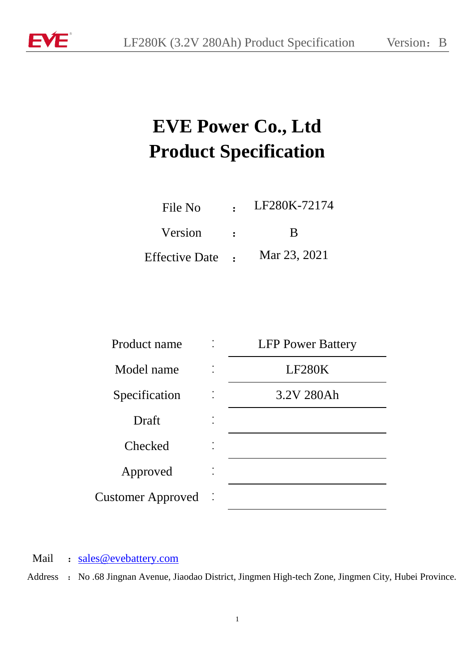

# **EVE Power Co., Ltd Product Specification**

| File No               | LF280K-72174 |
|-----------------------|--------------|
| Version               | R            |
| <b>Effective Date</b> | Mar 23, 2021 |

| Product name             |   | <b>LFP Power Battery</b> |
|--------------------------|---|--------------------------|
| Model name               |   | <b>LF280K</b>            |
| Specification            |   | 3.2V 280Ah               |
| Draft                    | ٠ |                          |
| Checked                  |   |                          |
| Approved                 |   |                          |
| <b>Customer Approved</b> |   |                          |

Mail : [sales@evebattery.com](mailto:sales@evebattery.com)

Address : No .68 Jingnan Avenue, Jiaodao District, Jingmen High-tech Zone, Jingmen City, Hubei Province.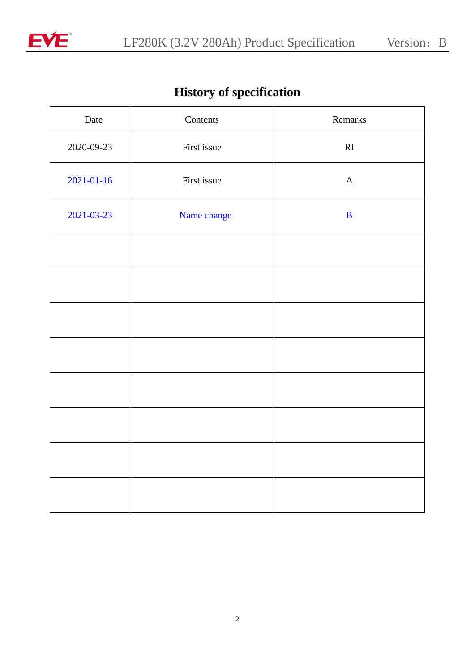

# **History of specification**

| Date             | Contents    | Remarks                   |
|------------------|-------------|---------------------------|
| 2020-09-23       | First issue | ${\mathbf R} {\mathbf f}$ |
| $2021 - 01 - 16$ | First issue | $\mathbf A$               |
| 2021-03-23       | Name change | $\, {\bf B}$              |
|                  |             |                           |
|                  |             |                           |
|                  |             |                           |
|                  |             |                           |
|                  |             |                           |
|                  |             |                           |
|                  |             |                           |
|                  |             |                           |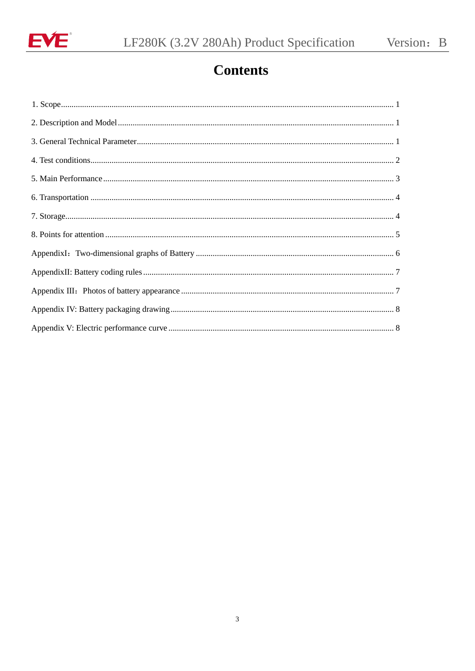

# **Contents**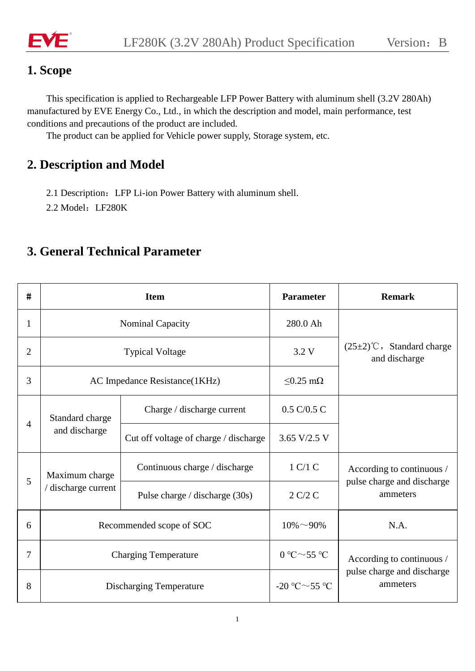

#### **1. Scope**

This specification is applied to Rechargeable LFP Power Battery with aluminum shell (3.2V 280Ah) manufactured by EVE Energy Co., Ltd., in which the description and model, main performance, test conditions and precautions of the product are included.

The product can be applied for Vehicle power supply, Storage system, etc.

### **2. Description and Model**

2.1 Description:LFP Li-ion Power Battery with aluminum shell.

2.2 Model: LF280K

### **3. General Technical Parameter**

| #                               | <b>Item</b>                 |                                       | <b>Parameter</b>    | <b>Remark</b>                                   |
|---------------------------------|-----------------------------|---------------------------------------|---------------------|-------------------------------------------------|
| 1                               | Nominal Capacity            |                                       | 280.0 Ah            |                                                 |
| $\overline{2}$                  | <b>Typical Voltage</b>      |                                       | 3.2 V               | $(25\pm2)$ °C, Standard charge<br>and discharge |
| 3                               |                             | AC Impedance Resistance(1KHz)         | $< 0.25$ m $\Omega$ |                                                 |
|                                 | Standard charge             | Charge / discharge current            | 0.5 C/0.5 C         |                                                 |
| $\overline{4}$<br>and discharge |                             | Cut off voltage of charge / discharge | 3.65 V/2.5 V        |                                                 |
|                                 | Maximum charge              | Continuous charge / discharge         | 1 C/1 C             | According to continuous /                       |
| 5                               | / discharge current         | Pulse charge / discharge (30s)        | 2 C/2 C             | pulse charge and discharge<br>ammeters          |
| 6                               | Recommended scope of SOC    |                                       | $10\% \sim 90\%$    | N.A.                                            |
| 7                               | <b>Charging Temperature</b> |                                       | $0 °C \sim 55 °C$   | According to continuous /                       |
| 8                               | Discharging Temperature     |                                       | -20 °C $\sim$ 55 °C | pulse charge and discharge<br>ammeters          |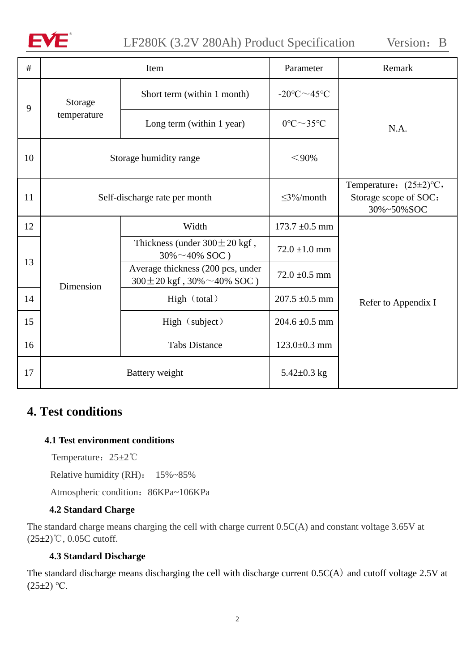

### LF280K (3.2V 280Ah) Product Specification Version: B

| #  | Item                          |                                                                            | Parameter                                     | Remark                                                             |
|----|-------------------------------|----------------------------------------------------------------------------|-----------------------------------------------|--------------------------------------------------------------------|
|    | Storage                       | Short term (within 1 month)                                                | -20 $\textdegree$ C $\sim$ 45 $\textdegree$ C |                                                                    |
|    | 9<br>temperature              | Long term (within 1 year)                                                  | $0^{\circ}$ C $\sim$ 35 $^{\circ}$ C          | N.A.                                                               |
| 10 | Storage humidity range        |                                                                            | $<$ 90%                                       |                                                                    |
| 11 | Self-discharge rate per month |                                                                            | $<$ 3%/month                                  | Temperature: $(25\pm2)$ °C,<br>Storage scope of SOC:<br>30%~50%SOC |
| 12 |                               | Width                                                                      | $173.7 \pm 0.5$ mm                            |                                                                    |
|    |                               | Thickness (under $300 \pm 20$ kgf,<br>$30\% \sim 40\%$ SOC)                | $72.0 \pm 1.0 \text{ mm}$                     |                                                                    |
|    | 13<br>Dimension               | Average thickness (200 pcs, under<br>300 $\pm$ 20 kgf, 30% $\sim$ 40% SOC) | $72.0 \pm 0.5$ mm                             |                                                                    |
| 14 |                               | High (total)                                                               | $207.5 \pm 0.5$ mm                            | Refer to Appendix I                                                |
| 15 |                               | High (subject)                                                             | $204.6 \pm 0.5$ mm                            |                                                                    |
| 16 |                               | <b>Tabs Distance</b>                                                       | $123.0 \pm 0.3$ mm                            |                                                                    |
| 17 | Battery weight                |                                                                            | $5.42 \pm 0.3$ kg                             |                                                                    |

#### **4. Test conditions**

#### **4.1 Test environment conditions**

Temperature:  $25 \pm 2^{\circ}$ C

Relative humidity (RH): 15%~85%

Atmospheric condition: 86KPa~106KPa

#### **4.2 Standard Charge**

The standard charge means charging the cell with charge current 0.5C(A) and constant voltage 3.65V at  $(25\pm2)$ °C, 0.05C cutoff.

#### **4.3 Standard Discharge**

The standard discharge means discharging the cell with discharge current 0.5C(A) and cutoff voltage 2.5V at  $(25±2)$  °C.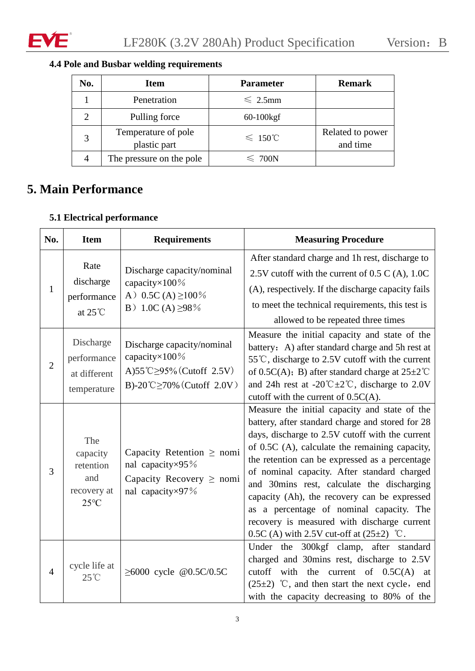

#### **4.4 Pole and Busbar welding requirements**

| No. | <b>Item</b>                         | <b>Parameter</b>          | <b>Remark</b>                |
|-----|-------------------------------------|---------------------------|------------------------------|
|     | Penetration                         | $\leq 2.5$ mm             |                              |
|     | Pulling force                       | $60-100$ kgf              |                              |
|     | Temperature of pole<br>plastic part | $\leqslant 150^{\circ}$ C | Related to power<br>and time |
|     | The pressure on the pole.           | $\leqslant$ 700N          |                              |

## **5. Main Performance**

#### **5.1 Electrical performance**

| No.            | <b>Item</b>                                                          | <b>Requirements</b>                                                                                                            | <b>Measuring Procedure</b>                                                                                                                                                                                                                                                                                                                                                                                                                                                                                                                        |
|----------------|----------------------------------------------------------------------|--------------------------------------------------------------------------------------------------------------------------------|---------------------------------------------------------------------------------------------------------------------------------------------------------------------------------------------------------------------------------------------------------------------------------------------------------------------------------------------------------------------------------------------------------------------------------------------------------------------------------------------------------------------------------------------------|
| $\mathbf{1}$   | Rate<br>discharge<br>performance<br>at $25^{\circ}$ C                | Discharge capacity/nominal<br>capacity×100%<br>A) 0.5C (A) $\geq$ 100%<br>B) 1.0C (A) $\geq$ 98%                               | After standard charge and 1h rest, discharge to<br>2.5V cutoff with the current of $0.5 \text{ C}$ (A), 1.0C<br>(A), respectively. If the discharge capacity fails<br>to meet the technical requirements, this test is<br>allowed to be repeated three times                                                                                                                                                                                                                                                                                      |
| $\overline{2}$ | Discharge<br>performance<br>at different<br>temperature              | Discharge capacity/nominal<br>capacity $\times$ 100%<br>A) $55^{\circ}$ C $\geq$ 95% (Cutoff 2.5V)<br>B)-20℃≥70% (Cutoff 2.0V) | Measure the initial capacity and state of the<br>battery: A) after standard charge and 5h rest at<br>55°C, discharge to 2.5V cutoff with the current<br>of 0.5C(A); B) after standard charge at $25 \pm 2^{\circ}$ C<br>and 24h rest at -20°C $\pm$ 2°C, discharge to 2.0V<br>cutoff with the current of $0.5C(A)$ .                                                                                                                                                                                                                              |
| 3              | The<br>capacity<br>retention<br>and<br>recovery at<br>$25^{\circ}$ C | Capacity Retention $\geq$ nomi<br>nal capacity $\times$ 95%<br>Capacity Recovery $\geq$ nomi<br>nal capacity ×97%              | Measure the initial capacity and state of the<br>battery, after standard charge and stored for 28<br>days, discharge to 2.5V cutoff with the current<br>of 0.5C (A), calculate the remaining capacity,<br>the retention can be expressed as a percentage<br>of nominal capacity. After standard charged<br>and 30mins rest, calculate the discharging<br>capacity (Ah), the recovery can be expressed<br>as a percentage of nominal capacity. The<br>recovery is measured with discharge current<br>0.5C (A) with 2.5V cut-off at $(25\pm 2)$ °C. |
| $\overline{4}$ | cycle life at<br>$25^{\circ}$ C                                      | ≥6000 cycle $@0.5C/0.5C$                                                                                                       | 300kgf clamp, after standard<br>Under the<br>charged and 30mins rest, discharge to 2.5V<br>cutoff<br>with<br>current of $0.5C(A)$<br>the<br>at<br>$(25\pm2)$ °C, and then start the next cycle, end<br>with the capacity decreasing to 80% of the                                                                                                                                                                                                                                                                                                 |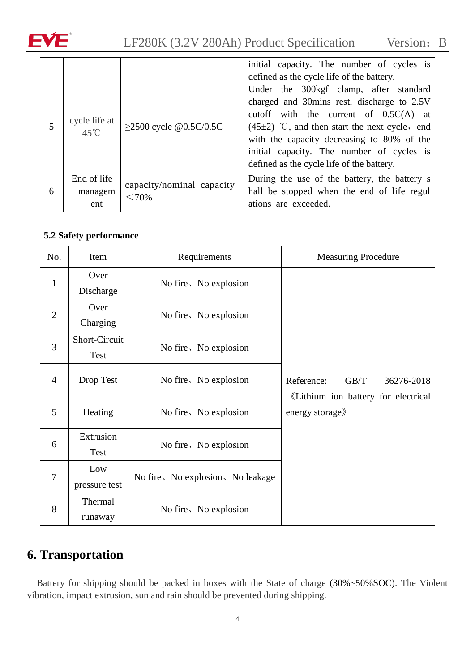

EVE<sup>®</sup> LF280K (3.2V 280Ah) Product Specification Version: B

|   |                                 |                                    | initial capacity. The number of cycles is         |
|---|---------------------------------|------------------------------------|---------------------------------------------------|
|   |                                 |                                    | defined as the cycle life of the battery.         |
|   |                                 |                                    | Under the 300kgf clamp, after standard            |
|   |                                 | $≥2500$ cycle $@0.5C/0.5C$         | charged and 30mins rest, discharge to 2.5V        |
|   | cycle life at<br>$45^{\circ}$ C |                                    | cutoff with the current of $0.5C(A)$ at           |
|   |                                 |                                    | $(45\pm2)$ °C, and then start the next cycle, end |
|   |                                 |                                    | with the capacity decreasing to 80% of the        |
|   |                                 |                                    | initial capacity. The number of cycles is         |
|   |                                 |                                    | defined as the cycle life of the battery.         |
|   | End of life                     |                                    | During the use of the battery, the battery s      |
| 6 | managem                         | capacity/nominal capacity<br>< 70% | hall be stopped when the end of life regul        |
|   | ent                             |                                    | ations are exceeded.                              |

#### **5.2 Safety performance**

| No.            | Item                  | Requirements                      | <b>Measuring Procedure</b>                            |
|----------------|-----------------------|-----------------------------------|-------------------------------------------------------|
| $\mathbf{1}$   | Over<br>Discharge     | No fire, No explosion             |                                                       |
| $\overline{2}$ | Over<br>Charging      | No fire, No explosion             |                                                       |
| $\overline{3}$ | Short-Circuit<br>Test | No fire, No explosion             |                                                       |
| $\overline{4}$ | Drop Test             | No fire, No explosion             | Reference:<br>GB/T<br>36276-2018                      |
| 5              | Heating               | No fire, No explosion             | Lithium ion battery for electrical<br>energy storage» |
| 6              | Extrusion<br>Test     | No fire, No explosion             |                                                       |
| $\overline{7}$ | Low<br>pressure test  | No fire, No explosion, No leakage |                                                       |
| 8              | Thermal<br>runaway    | No fire, No explosion             |                                                       |

#### **6. Transportation**

Battery for shipping should be packed in boxes with the State of charge (30%~50%SOC). The Violent vibration, impact extrusion, sun and rain should be prevented during shipping.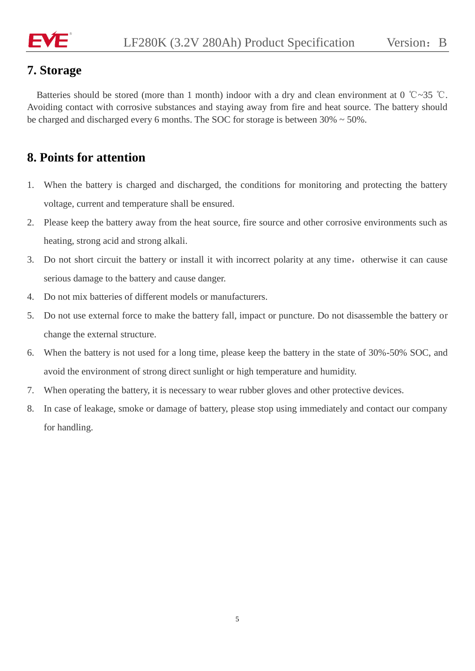

#### **7. Storage**

Batteries should be stored (more than 1 month) indoor with a dry and clean environment at 0 ℃~35 ℃. Avoiding contact with corrosive substances and staying away from fire and heat source. The battery should be charged and discharged every 6 months. The SOC for storage is between  $30\% \sim 50\%$ .

### **8. [Points for attention](http://www.baidu.com/link?url=gzbVKXLMu35qTSspSBhPWi9oYFVrnDtP-7RVgDSkpmJjEp6l2tgEzNwEOxGOomqAg7vTCJvByKh9bLEOpCTYrDMKAY0N0EGH1tvBZKBYjX0zaM56g-HVF2svZ-AKLsYd)**

- 1. When the battery is charged and discharged, the conditions for monitoring and protecting the battery voltage, current and temperature shall be ensured.
- 2. Please keep the battery away from the heat source, fire source and other corrosive environments such as heating, strong acid and strong alkali.
- 3. Do not short circuit the battery or install it with incorrect polarity at any time, otherwise it can cause serious damage to the battery and cause danger.
- 4. Do not mix batteries of different models or manufacturers.
- 5. Do not use external force to make the battery fall, impact or puncture. Do not disassemble the battery or change the external structure.
- 6. When the battery is not used for a long time, please keep the battery in the state of 30%-50% SOC, and avoid the environment of strong direct sunlight or high temperature and humidity.
- 7. When operating the battery, it is necessary to wear rubber gloves and other protective devices.
- 8. In case of leakage, smoke or damage of battery, please stop using immediately and contact our company for handling.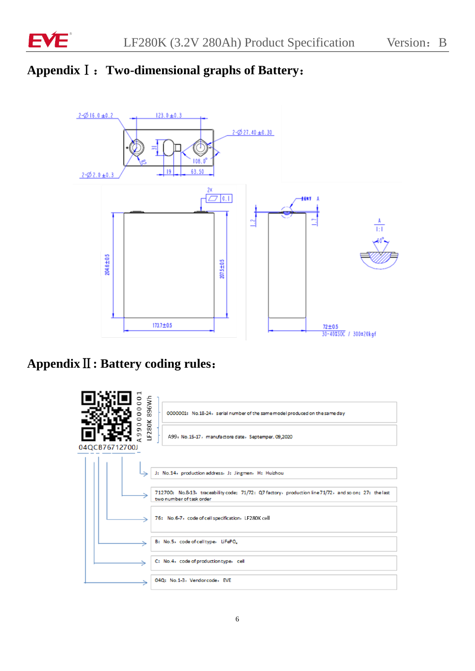

# **Appendix**Ⅰ:**Two-dimensional graphs of Battery**:



# **Appendix**Ⅱ**: Battery coding rules**:

| 896Wh<br>0<br>$\circ$<br>LF280K<br>0<br>G<br>G<br>04QCB76712700J | 0000001: No.18-24, serial number of the same model produced on the same day<br>A99: No.15-17, manufactore date, Septemper. 09,2020                                                        |
|------------------------------------------------------------------|-------------------------------------------------------------------------------------------------------------------------------------------------------------------------------------------|
|                                                                  | J: No.14, production address, J: Jingmen, H: Huizhou<br>712700: No.8-13, traceability code; 71/72: Q7 factory, production line 71/72, and so on; 27: the last<br>two number of task order |
|                                                                  | 76: No.6-7, code of cell specification, LF280K cell                                                                                                                                       |
|                                                                  | B: No.5, code of cell type, LiFePO,                                                                                                                                                       |
|                                                                  | C: No.4, code of production type, cell                                                                                                                                                    |
|                                                                  | 04Q: No.1-3, Vendorcode, EVE                                                                                                                                                              |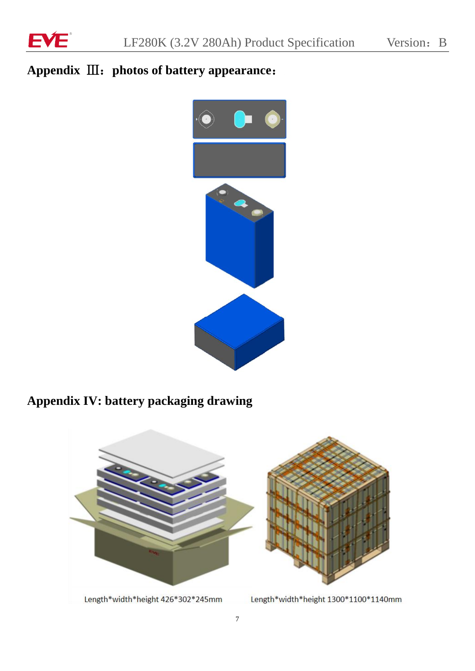

# **Appendix** Ⅲ:**photos of battery appearance**:



# **Appendix IV: battery packaging drawing**